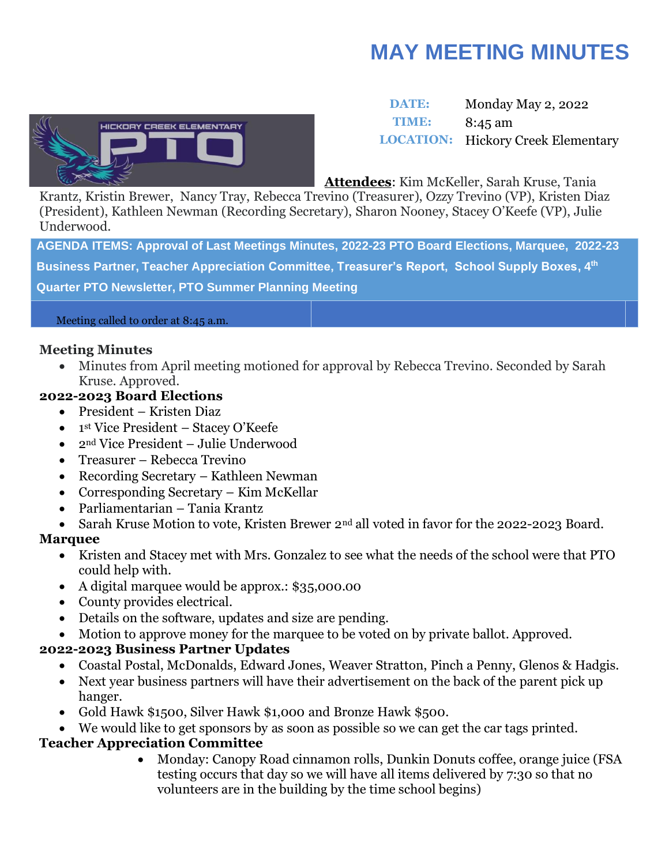# **MAY MEETING MINUTES**



# **DATE:** Monday May 2, 2022 **TIME:** 8:45 am **LOCATION:** Hickory Creek Elementary

**Attendees**: Kim McKeller, Sarah Kruse, Tania

Krantz, Kristin Brewer, Nancy Tray, Rebecca Trevino (Treasurer), Ozzy Trevino (VP), Kristen Diaz (President), Kathleen Newman (Recording Secretary), Sharon Nooney, Stacey O'Keefe (VP), Julie Underwood.

**AGENDA ITEMS: Approval of Last Meetings Minutes, 2022-23 PTO Board Elections, Marquee, 2022-23 Business Partner, Teacher Appreciation Committee, Treasurer's Report, School Supply Boxes, 4th Quarter PTO Newsletter, PTO Summer Planning Meeting**

Meeting called to order at 8:45 a.m.

#### **Meeting Minutes**

• Minutes from April meeting motioned for approval by Rebecca Trevino. Seconded by Sarah Kruse. Approved.

#### **2022-2023 Board Elections**

- President Kristen Diaz
- 1 st Vice President Stacey O'Keefe
- 2<sup>nd</sup> Vice President Julie Underwood
- Treasurer Rebecca Trevino
- Recording Secretary Kathleen Newman
- Corresponding Secretary Kim McKellar
- Parliamentarian Tania Krantz
- Sarah Kruse Motion to vote, Kristen Brewer 2<sup>nd</sup> all voted in favor for the 2022-2023 Board.

# **Marquee**

- Kristen and Stacey met with Mrs. Gonzalez to see what the needs of the school were that PTO could help with.
- A digital marquee would be approx.: \$35,000.00
- County provides electrical.
- Details on the software, updates and size are pending.
- Motion to approve money for the marquee to be voted on by private ballot. Approved.

# **2022-2023 Business Partner Updates**

- Coastal Postal, McDonalds, Edward Jones, Weaver Stratton, Pinch a Penny, Glenos & Hadgis.
- Next year business partners will have their advertisement on the back of the parent pick up hanger.
- Gold Hawk \$1500, Silver Hawk \$1,000 and Bronze Hawk \$500.
- We would like to get sponsors by as soon as possible so we can get the car tags printed.

# **Teacher Appreciation Committee**

• Monday: Canopy Road cinnamon rolls, Dunkin Donuts coffee, orange juice (FSA testing occurs that day so we will have all items delivered by 7:30 so that no volunteers are in the building by the time school begins)